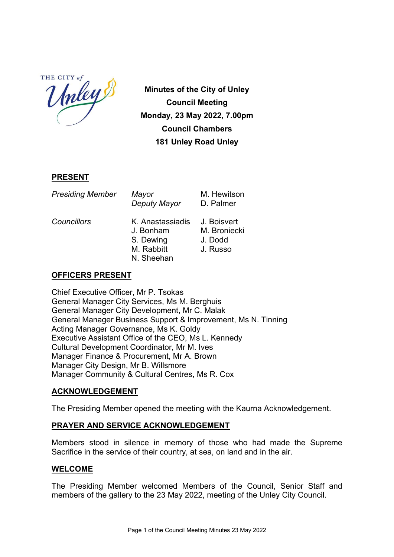HE CITY of THE CITY

Minutes of the City of Unley Council Meeting Monday, 23 May 2022, 7.00pm Council Chambers 181 Unley Road Unley

### **PRESENT**

| <b>Presiding Member</b> | Mayor<br>Deputy Mayor                                                 | M. Hewitson<br>D. Palmer                           |
|-------------------------|-----------------------------------------------------------------------|----------------------------------------------------|
| Councillors             | K Anastassiadis<br>J. Bonham<br>S. Dewing<br>M. Rabbitt<br>N. Sheehan | J. Boisvert<br>M. Broniecki<br>J. Dodd<br>J. Russo |

### OFFICERS PRESENT

Chief Executive Officer, Mr P. Tsokas General Manager City Services, Ms M. Berghuis General Manager City Development, Mr C. Malak General Manager Business Support & Improvement, Ms N. Tinning Acting Manager Governance, Ms K. Goldy Executive Assistant Office of the CEO, Ms L. Kennedy Cultural Development Coordinator, Mr M. Ives Manager Finance & Procurement, Mr A. Brown Manager City Design, Mr B. Willsmore Manager Community & Cultural Centres, Ms R. Cox

### ACKNOWLEDGEMENT

The Presiding Member opened the meeting with the Kaurna Acknowledgement.

### PRAYER AND SERVICE ACKNOWLEDGEMENT

Members stood in silence in memory of those who had made the Supreme Sacrifice in the service of their country, at sea, on land and in the air.

### WELCOME

The Presiding Member welcomed Members of the Council, Senior Staff and members of the gallery to the 23 May 2022, meeting of the Unley City Council.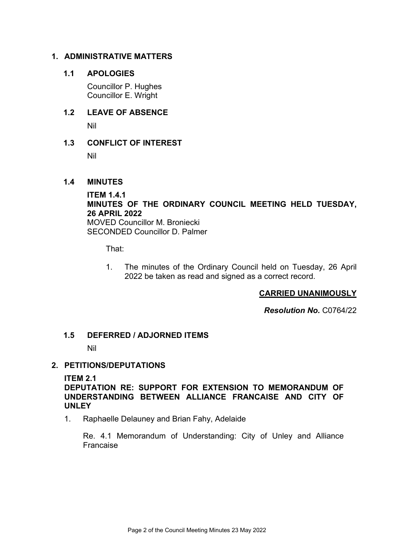### 1. ADMINISTRATIVE MATTERS

### 1.1 APOLOGIES

Councillor P. Hughes Councillor E. Wright

# 1.2 LEAVE OF ABSENCE

Nil

# 1.3 CONFLICT OF INTEREST

Nil

### 1.4 MINUTES

### ITEM 1.4.1 MINUTES OF THE ORDINARY COUNCIL MEETING HELD TUESDAY, 26 APRIL 2022

MOVED Councillor M. Broniecki SECONDED Councillor D. Palmer

That:

1. The minutes of the Ordinary Council held on Tuesday, 26 April 2022 be taken as read and signed as a correct record.

# CARRIED UNANIMOUSLY

Resolution No. C0764/22

### 1.5 DEFERRED / ADJORNED ITEMS

Nil

### 2. PETITIONS/DEPUTATIONS

### ITEM 2.1

DEPUTATION RE: SUPPORT FOR EXTENSION TO MEMORANDUM OF UNDERSTANDING BETWEEN ALLIANCE FRANCAISE AND CITY OF UNLEY

1. Raphaelle Delauney and Brian Fahy, Adelaide

Re. 4.1 Memorandum of Understanding: City of Unley and Alliance Francaise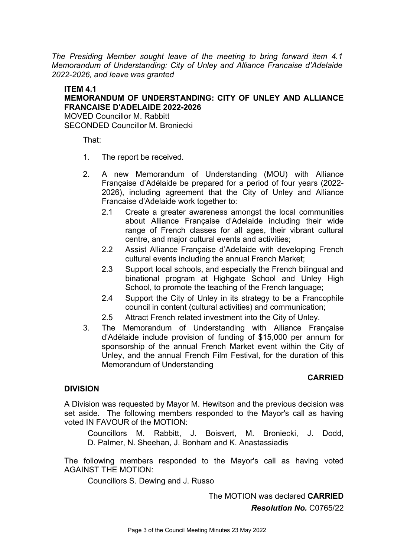The Presiding Member sought leave of the meeting to bring forward item 4.1 Memorandum of Understanding: City of Unley and Alliance Francaise d'Adelaide 2022-2026, and leave was granted

### ITEM 4.1 MEMORANDUM OF UNDERSTANDING: CITY OF UNLEY AND ALLIANCE FRANCAISE D'ADELAIDE 2022-2026

MOVED Councillor M. Rabbitt SECONDED Councillor M. Broniecki

That:

- 1. The report be received.
- 2. A new Memorandum of Understanding (MOU) with Alliance Française d'Adélaide be prepared for a period of four years (2022- 2026), including agreement that the City of Unley and Alliance Francaise d'Adelaide work together to:
	- 2.1 Create a greater awareness amongst the local communities about Alliance Française d'Adelaide including their wide range of French classes for all ages, their vibrant cultural centre, and major cultural events and activities;
	- 2.2 Assist Alliance Française d'Adelaide with developing French cultural events including the annual French Market;
	- 2.3 Support local schools, and especially the French bilingual and binational program at Highgate School and Unley High School, to promote the teaching of the French language:
	- 2.4 Support the City of Unley in its strategy to be a Francophile council in content (cultural activities) and communication;
	- 2.5 Attract French related investment into the City of Unley.
- 3. The Memorandum of Understanding with Alliance Française d'Adélaide include provision of funding of \$15,000 per annum for sponsorship of the annual French Market event within the City of Unley, and the annual French Film Festival, for the duration of this Memorandum of Understanding

### CARRIED

### DIVISION

A Division was requested by Mayor M. Hewitson and the previous decision was set aside. The following members responded to the Mayor's call as having voted IN FAVOUR of the MOTION:

Councillors M. Rabbitt, J. Boisvert, M. Broniecki, J. Dodd, D. Palmer, N. Sheehan, J. Bonham and K. Anastassiadis

The following members responded to the Mayor's call as having voted AGAINST THE MOTION:

Councillors S. Dewing and J. Russo

The MOTION was declared CARRIED

Resolution No. C0765/22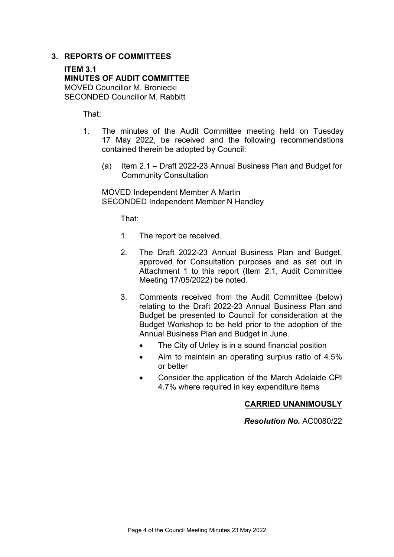### 3. REPORTS OF COMMITTEES

ITEM 3.1 MINUTES OF AUDIT COMMITTEE MOVED Councillor M. Broniecki SECONDED Councillor M. Rabbitt

That:

- 1. The minutes of the Audit Committee meeting held on Tuesday 17 May 2022, be received and the following recommendations contained therein be adopted by Council:
	- (a) Item 2.1 Draft 2022-23 Annual Business Plan and Budget for Community Consultation

MOVED Independent Member A Martin SECONDED Independent Member N Handley

That:

- 1. The report be received.
- 2. The Draft 2022-23 Annual Business Plan and Budget, approved for Consultation purposes and as set out in Attachment 1 to this report (Item 2.1, Audit Committee Meeting 17/05/2022) be noted.
- 3. Comments received from the Audit Committee (below) relating to the Draft 2022-23 Annual Business Plan and Budget be presented to Council for consideration at the Budget Workshop to be held prior to the adoption of the Annual Business Plan and Budget in June.
	- The City of Unley is in a sound financial position
	- Aim to maintain an operating surplus ratio of 4.5% or better
	- Consider the application of the March Adelaide CPI 4.7% where required in key expenditure items

### CARRIED UNANIMOUSLY

Resolution No. AC0080/22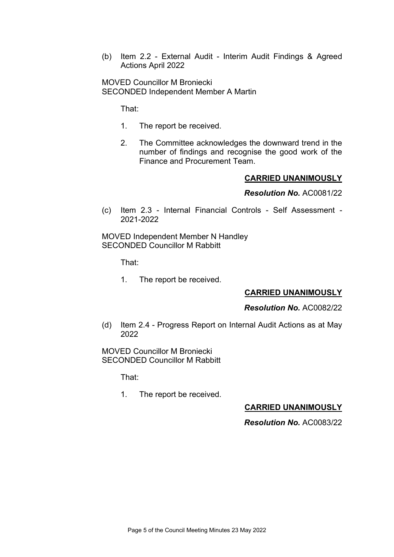(b) Item 2.2 - External Audit - Interim Audit Findings & Agreed Actions April 2022

MOVED Councillor M Broniecki SECONDED Independent Member A Martin

That:

- 1. The report be received.
- 2. The Committee acknowledges the downward trend in the number of findings and recognise the good work of the Finance and Procurement Team.

### CARRIED UNANIMOUSLY

Resolution No. AC0081/22

(c) Item 2.3 - Internal Financial Controls - Self Assessment - 2021-2022

MOVED Independent Member N Handley SECONDED Councillor M Rabbitt

That:

1. The report be received.

### CARRIED UNANIMOUSLY

#### Resolution No. AC0082/22

(d) Item 2.4 - Progress Report on Internal Audit Actions as at May 2022

MOVED Councillor M Broniecki SECONDED Councillor M Rabbitt

That:

1. The report be received.

### CARRIED UNANIMOUSLY

### Resolution No. AC0083/22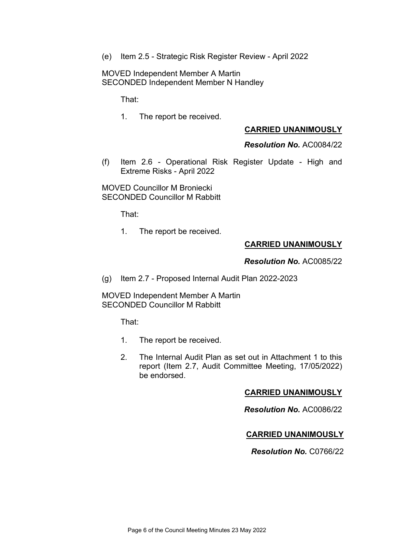(e) Item 2.5 - Strategic Risk Register Review - April 2022

MOVED Independent Member A Martin SECONDED Independent Member N Handley

That:

1. The report be received.

### CARRIED UNANIMOUSLY

Resolution No. AC0084/22

(f) Item 2.6 - Operational Risk Register Update - High and Extreme Risks - April 2022

MOVED Councillor M Broniecki SECONDED Councillor M Rabbitt

That:

1. The report be received.

### CARRIED UNANIMOUSLY

Resolution No. AC0085/22

(g) Item 2.7 - Proposed Internal Audit Plan 2022-2023

MOVED Independent Member A Martin SECONDED Councillor M Rabbitt

That:

- 1. The report be received.
- 2. The Internal Audit Plan as set out in Attachment 1 to this report (Item 2.7, Audit Committee Meeting, 17/05/2022) be endorsed.

### CARRIED UNANIMOUSLY

Resolution No. AC0086/22

### CARRIED UNANIMOUSLY

Resolution No. C0766/22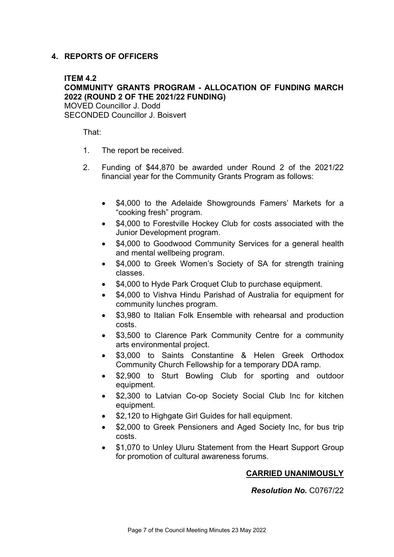# 4. REPORTS OF OFFICERS

### ITFM 4.2

# COMMUNITY GRANTS PROGRAM - ALLOCATION OF FUNDING MARCH 2022 (ROUND 2 OF THE 2021/22 FUNDING)

MOVED Councillor J. Dodd SECONDED Councillor J. Boisvert

That:

- 1. The report be received.
- 2. Funding of \$44,870 be awarded under Round 2 of the 2021/22 financial year for the Community Grants Program as follows:
	- \$4,000 to the Adelaide Showgrounds Famers' Markets for a "cooking fresh" program.
	- \$4,000 to Forestville Hockey Club for costs associated with the Junior Development program.
	- \$4,000 to Goodwood Community Services for a general health and mental wellbeing program.
	- \$4,000 to Greek Women's Society of SA for strength training classes.
	- \$4,000 to Hyde Park Croquet Club to purchase equipment.
	- \$4,000 to Vishva Hindu Parishad of Australia for equipment for community lunches program.
	- \$3,980 to Italian Folk Ensemble with rehearsal and production costs.
	- \$3,500 to Clarence Park Community Centre for a community arts environmental project.
	- \$3,000 to Saints Constantine & Helen Greek Orthodox Community Church Fellowship for a temporary DDA ramp.
	- \$2,900 to Sturt Bowling Club for sporting and outdoor equipment.
	- \$2,300 to Latvian Co-op Society Social Club Inc for kitchen equipment.
	- \$2,120 to Highgate Girl Guides for hall equipment.
	- \$2,000 to Greek Pensioners and Aged Society Inc, for bus trip costs.
	- \$1,070 to Unley Uluru Statement from the Heart Support Group for promotion of cultural awareness forums.

# CARRIED UNANIMOUSLY

### Resolution No. C0767/22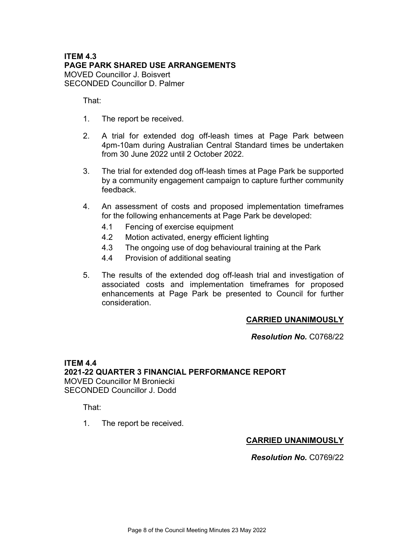### ITEM 4.3 PAGE PARK SHARED USE ARRANGEMENTS MOVED Councillor J. Boisvert SECONDED Councillor D. Palmer

That:

- 1. The report be received.
- 2. A trial for extended dog off-leash times at Page Park between 4pm-10am during Australian Central Standard times be undertaken from 30 June 2022 until 2 October 2022.
- 3. The trial for extended dog off-leash times at Page Park be supported by a community engagement campaign to capture further community feedback.
- 4. An assessment of costs and proposed implementation timeframes for the following enhancements at Page Park be developed:
	- 4.1 Fencing of exercise equipment
	- 4.2 Motion activated, energy efficient lighting
	- 4.3 The ongoing use of dog behavioural training at the Park
	- 4.4 Provision of additional seating
- 5. The results of the extended dog off-leash trial and investigation of associated costs and implementation timeframes for proposed enhancements at Page Park be presented to Council for further consideration.

### CARRIED UNANIMOUSLY

Resolution No. C0768/22

ITEM 4.4 2021-22 QUARTER 3 FINANCIAL PERFORMANCE REPORT MOVED Councillor M Broniecki SECONDED Councillor J. Dodd

That:

1. The report be received.

### CARRIED UNANIMOUSLY

Resolution No. C0769/22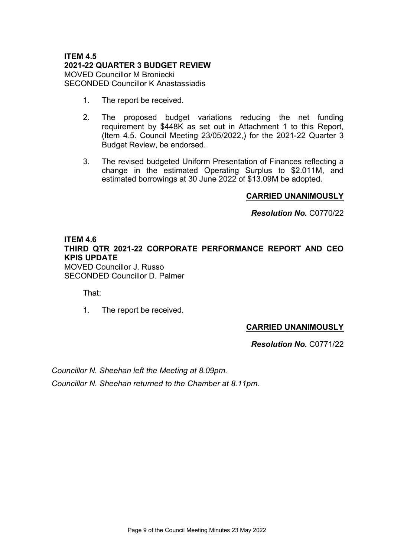### ITEM 4.5 2021-22 QUARTER 3 BUDGET REVIEW MOVED Councillor M Broniecki SECONDED Councillor K Anastassiadis

- 1. The report be received.
- 2. The proposed budget variations reducing the net funding requirement by \$448K as set out in Attachment 1 to this Report, (Item 4.5. Council Meeting 23/05/2022,) for the 2021-22 Quarter 3 Budget Review, be endorsed.
- 3. The revised budgeted Uniform Presentation of Finances reflecting a change in the estimated Operating Surplus to \$2.011M, and estimated borrowings at 30 June 2022 of \$13.09M be adopted.

### CARRIED UNANIMOUSLY

Resolution No. C0770/22

### ITEM 4.6 THIRD QTR 2021-22 CORPORATE PERFORMANCE REPORT AND CEO KPIS UPDATE

MOVED Councillor J. Russo SECONDED Councillor D. Palmer

That:

1. The report be received.

# CARRIED UNANIMOUSLY

Resolution No. C0771/22

Councillor N. Sheehan left the Meeting at 8.09pm.

Councillor N. Sheehan returned to the Chamber at 8.11pm.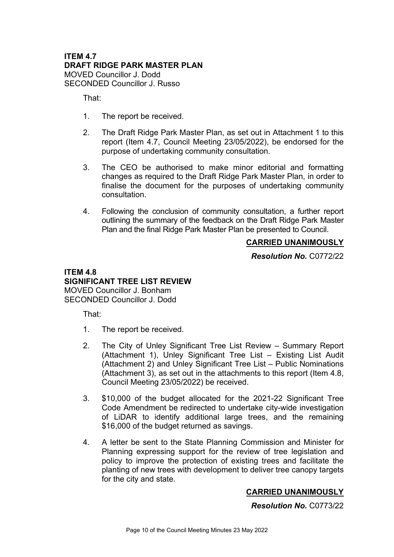### ITEM 4.7 DRAFT RIDGE PARK MASTER PLAN MOVED Councillor J. Dodd SECONDED Councillor J. Russo

That:

- 1. The report be received.
- 2. The Draft Ridge Park Master Plan, as set out in Attachment 1 to this report (Item 4.7, Council Meeting 23/05/2022), be endorsed for the purpose of undertaking community consultation.
- 3. The CEO be authorised to make minor editorial and formatting changes as required to the Draft Ridge Park Master Plan, in order to finalise the document for the purposes of undertaking community consultation.
- 4. Following the conclusion of community consultation, a further report outlining the summary of the feedback on the Draft Ridge Park Master Plan and the final Ridge Park Master Plan be presented to Council.

### CARRIED UNANIMOUSLY

Resolution No. C0772/22

### ITEM 4.8 SIGNIFICANT TREE LIST REVIEW MOVED Councillor J. Bonham SECONDED Councillor J. Dodd

That:

- 1. The report be received.
- 2. The City of Unley Significant Tree List Review Summary Report (Attachment 1), Unley Significant Tree List – Existing List Audit (Attachment 2) and Unley Significant Tree List – Public Nominations (Attachment 3), as set out in the attachments to this report (Item 4.8, Council Meeting 23/05/2022) be received.
- 3. \$10,000 of the budget allocated for the 2021-22 Significant Tree Code Amendment be redirected to undertake city-wide investigation of LiDAR to identify additional large trees, and the remaining \$16,000 of the budget returned as savings.
- 4. A letter be sent to the State Planning Commission and Minister for Planning expressing support for the review of tree legislation and policy to improve the protection of existing trees and facilitate the planting of new trees with development to deliver tree canopy targets for the city and state.

# CARRIED UNANIMOUSLY

Resolution No. C0773/22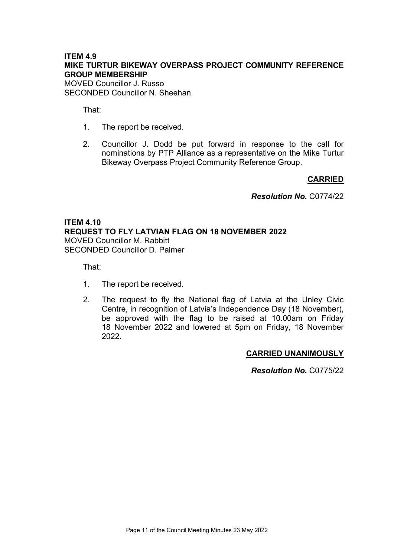# ITEM 4.9 MIKE TURTUR BIKEWAY OVERPASS PROJECT COMMUNITY REFERENCE GROUP MEMBERSHIP

MOVED Councillor J. Russo SECONDED Councillor N. Sheehan

That:

- 1. The report be received.
- 2. Councillor J. Dodd be put forward in response to the call for nominations by PTP Alliance as a representative on the Mike Turtur Bikeway Overpass Project Community Reference Group.

### **CARRIED**

Resolution No. C0774/22

# ITEM 4.10 REQUEST TO FLY LATVIAN FLAG ON 18 NOVEMBER 2022 MOVED Councillor M. Rabbitt SECONDED Councillor D. Palmer

That:

- 1. The report be received.
- 2. The request to fly the National flag of Latvia at the Unley Civic Centre, in recognition of Latvia's Independence Day (18 November), be approved with the flag to be raised at 10.00am on Friday 18 November 2022 and lowered at 5pm on Friday, 18 November 2022.

### CARRIED UNANIMOUSLY

Resolution No. C0775/22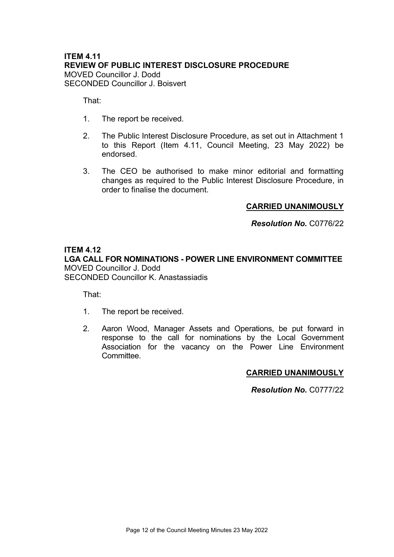# ITEM 4.11 REVIEW OF PUBLIC INTEREST DISCLOSURE PROCEDURE MOVED Councillor J. Dodd SECONDED Councillor J. Boisvert

That:

- 1. The report be received.
- 2. The Public Interest Disclosure Procedure, as set out in Attachment 1 to this Report (Item 4.11, Council Meeting, 23 May 2022) be endorsed.
- 3. The CEO be authorised to make minor editorial and formatting changes as required to the Public Interest Disclosure Procedure, in order to finalise the document.

# CARRIED UNANIMOUSLY

Resolution No. C0776/22

### ITEM 4.12

LGA CALL FOR NOMINATIONS - POWER LINE ENVIRONMENT COMMITTEE MOVED Councillor J. Dodd SECONDED Councillor K. Anastassiadis

That:

- 1. The report be received.
- 2. Aaron Wood, Manager Assets and Operations, be put forward in response to the call for nominations by the Local Government Association for the vacancy on the Power Line Environment Committee.

### CARRIED UNANIMOUSLY

Resolution No. C0777/22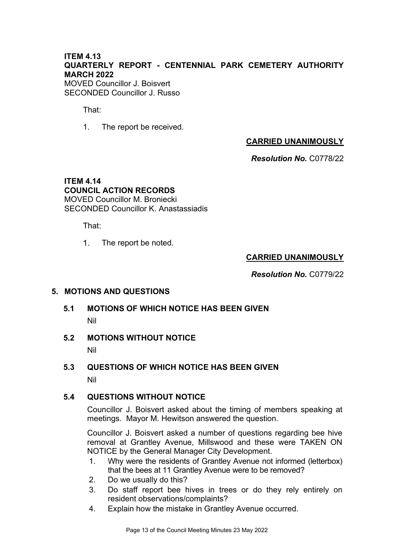# ITEM 4.13 QUARTERLY REPORT - CENTENNIAL PARK CEMETERY AUTHORITY MARCH 2022

MOVED Councillor J. Boisvert SECONDED Councillor J. Russo

That:

1. The report be received.

# CARRIED UNANIMOUSLY

Resolution No. C0778/22

### ITEM 4.14 COUNCIL ACTION RECORDS MOVED Councillor M. Broniecki SECONDED Councillor K. Anastassiadis

That:

 $1<sub>1</sub>$ The report be noted.

# CARRIED UNANIMOUSLY

Resolution No. C0779/22

### 5. MOTIONS AND QUESTIONS

# 5.1 MOTIONS OF WHICH NOTICE HAS BEEN GIVEN Nil

### 5.2 MOTIONS WITHOUT NOTICE

Nil

# 5.3 QUESTIONS OF WHICH NOTICE HAS BEEN GIVEN

Nil

# 5.4 QUESTIONS WITHOUT NOTICE

Councillor J. Boisvert asked about the timing of members speaking at meetings. Mayor M. Hewitson answered the question.

Councillor J. Boisvert asked a number of questions regarding bee hive removal at Grantley Avenue, Millswood and these were TAKEN ON NOTICE by the General Manager City Development.

- 1. Why were the residents of Grantley Avenue not informed (letterbox) that the bees at 11 Grantley Avenue were to be removed?
- 2. Do we usually do this?
- 3. Do staff report bee hives in trees or do they rely entirely on resident observations/complaints?
- 4. Explain how the mistake in Grantley Avenue occurred.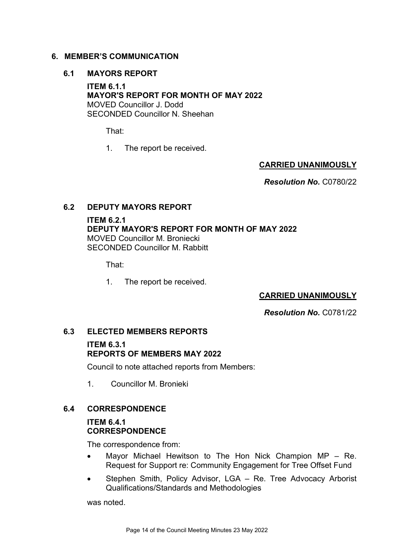### 6. MEMBER'S COMMUNICATION

### 6.1 MAYORS REPORT

ITEM 6.1.1 MAYOR'S REPORT FOR MONTH OF MAY 2022 MOVED Councillor J. Dodd SECONDED Councillor N. Sheehan

That:

1. The report be received.

### CARRIED UNANIMOUSLY

Resolution No. C0780/22

### 6.2 DEPUTY MAYORS REPORT

ITEM 6.2.1 DEPUTY MAYOR'S REPORT FOR MONTH OF MAY 2022 MOVED Councillor M. Broniecki SECONDED Councillor M. Rabbitt

That:

1. The report be received.

# CARRIED UNANIMOUSLY

Resolution No. C0781/22

# 6.3 ELECTED MEMBERS REPORTS

### ITEM 6.3.1 REPORTS OF MEMBERS MAY 2022

Council to note attached reports from Members:

1. Councillor M. Bronieki

### 6.4 CORRESPONDENCE

# ITEM 6.4.1 **CORRESPONDENCE**

The correspondence from:

- Mayor Michael Hewitson to The Hon Nick Champion MP Re. Request for Support re: Community Engagement for Tree Offset Fund
- Stephen Smith, Policy Advisor, LGA Re. Tree Advocacy Arborist Qualifications/Standards and Methodologies

was noted.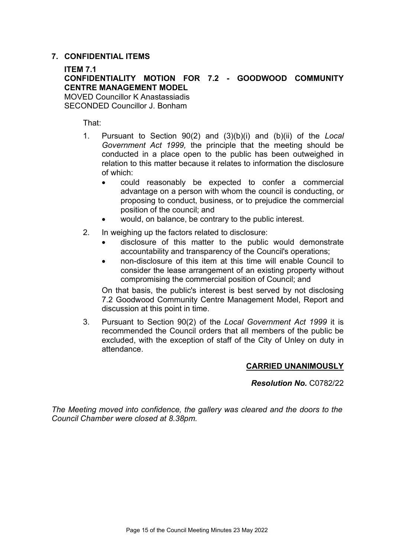### 7. CONFIDENTIAL ITEMS

### ITEM 7.1 CONFIDENTIALITY MOTION FOR 7.2 - GOODWOOD COMMUNITY CENTRE MANAGEMENT MODEL MOVED Councillor K Anastassiadis SECONDED Councillor J. Bonham

That:

- 1. Pursuant to Section 90(2) and (3)(b)(i) and (b)(ii) of the Local Government Act 1999, the principle that the meeting should be conducted in a place open to the public has been outweighed in relation to this matter because it relates to information the disclosure of which:
	- could reasonably be expected to confer a commercial advantage on a person with whom the council is conducting, or proposing to conduct, business, or to prejudice the commercial position of the council; and
	- would, on balance, be contrary to the public interest.
- 2. In weighing up the factors related to disclosure:
	- disclosure of this matter to the public would demonstrate accountability and transparency of the Council's operations;
	- non-disclosure of this item at this time will enable Council to consider the lease arrangement of an existing property without compromising the commercial position of Council; and

On that basis, the public's interest is best served by not disclosing 7.2 Goodwood Community Centre Management Model, Report and discussion at this point in time.

3. Pursuant to Section 90(2) of the Local Government Act 1999 it is recommended the Council orders that all members of the public be excluded, with the exception of staff of the City of Unley on duty in attendance.

### CARRIED UNANIMOUSLY

Resolution No. C0782/22

The Meeting moved into confidence, the gallery was cleared and the doors to the Council Chamber were closed at 8.38pm.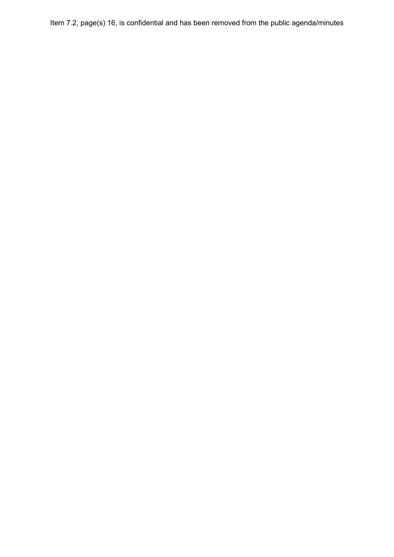Item 7.2, page(s) 16, is confidential and has been removed from the public agenda/minutes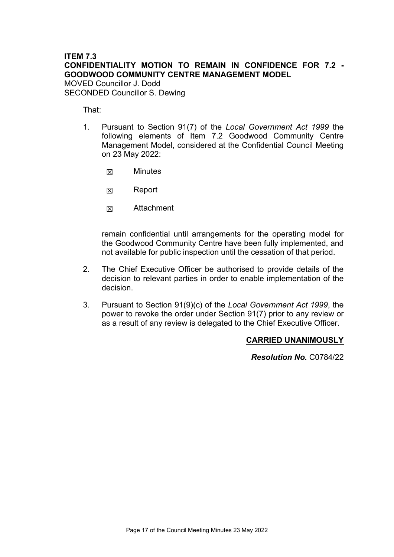# ITEM 7.3 CONFIDENTIALITY MOTION TO REMAIN IN CONFIDENCE FOR 7.2 - GOODWOOD COMMUNITY CENTRE MANAGEMENT MODEL

MOVED Councillor J. Dodd SECONDED Councillor S. Dewing

That:

- 1. Pursuant to Section 91(7) of the Local Government Act 1999 the following elements of Item 7.2 Goodwood Community Centre Management Model, considered at the Confidential Council Meeting on 23 May 2022:
	- ☒ Minutes
	- ☒ Report
	- ☒ Attachment

remain confidential until arrangements for the operating model for the Goodwood Community Centre have been fully implemented, and not available for public inspection until the cessation of that period.

- 2. The Chief Executive Officer be authorised to provide details of the decision to relevant parties in order to enable implementation of the decision.
- 3. Pursuant to Section 91(9)(c) of the Local Government Act 1999, the power to revoke the order under Section 91(7) prior to any review or as a result of any review is delegated to the Chief Executive Officer.

### CARRIED UNANIMOUSLY

Resolution No. C0784/22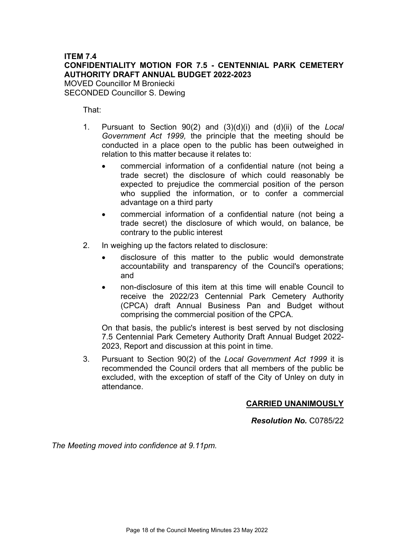# ITEM 7.4 CONFIDENTIALITY MOTION FOR 7.5 - CENTENNIAL PARK CEMETERY AUTHORITY DRAFT ANNUAL BUDGET 2022-2023

MOVED Councillor M Broniecki SECONDED Councillor S. Dewing

That:

- 1. Pursuant to Section 90(2) and (3)(d)(i) and (d)(ii) of the Local Government Act 1999, the principle that the meeting should be conducted in a place open to the public has been outweighed in relation to this matter because it relates to:
	- commercial information of a confidential nature (not being a trade secret) the disclosure of which could reasonably be expected to prejudice the commercial position of the person who supplied the information, or to confer a commercial advantage on a third party
	- commercial information of a confidential nature (not being a trade secret) the disclosure of which would, on balance, be contrary to the public interest
- 2. In weighing up the factors related to disclosure:
	- disclosure of this matter to the public would demonstrate accountability and transparency of the Council's operations; and
	- non-disclosure of this item at this time will enable Council to receive the 2022/23 Centennial Park Cemetery Authority (CPCA) draft Annual Business Pan and Budget without comprising the commercial position of the CPCA.

On that basis, the public's interest is best served by not disclosing 7.5 Centennial Park Cemetery Authority Draft Annual Budget 2022- 2023, Report and discussion at this point in time.

3. Pursuant to Section 90(2) of the Local Government Act 1999 it is recommended the Council orders that all members of the public be excluded, with the exception of staff of the City of Unley on duty in attendance.

# CARRIED UNANIMOUSLY

Resolution No. C0785/22

The Meeting moved into confidence at 9.11pm.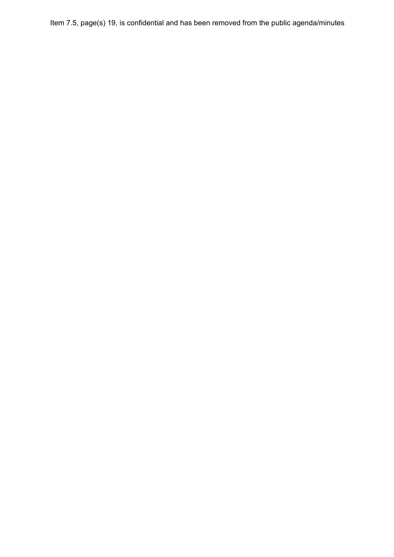Item 7.5, page(s) 19, is confidential and has been removed from the public agenda/minutes